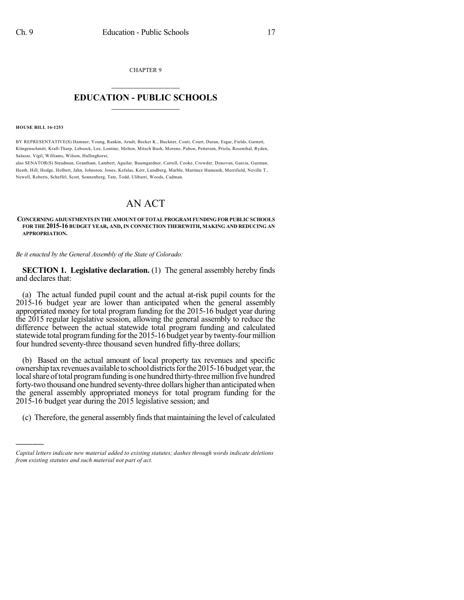CHAPTER 9

## $\mathcal{L}_\text{max}$  . The set of the set of the set of the set of the set of the set of the set of the set of the set of the set of the set of the set of the set of the set of the set of the set of the set of the set of the set **EDUCATION - PUBLIC SCHOOLS**  $\_$   $\_$   $\_$   $\_$   $\_$   $\_$   $\_$   $\_$   $\_$

**HOUSE BILL 16-1253**

)))))

BY REPRESENTATIVE(S) Hamner, Young, Rankin, Arndt, Becker K., Buckner, Conti, Court, Duran, Esgar, Fields, Garnett, Klingenschmitt, Kraft-Tharp, Lebsock, Lee, Lontine, Melton, Mitsch Bush, Moreno, Pabon, Pettersen, Priola, Rosenthal, Ryden, Salazar, Vigil, Williams, Wilson, Hullinghorst;

also SENATOR(S) Steadman, Grantham, Lambert, Aguilar, Baumgardner, Carroll, Cooke, Crowder, Donovan, Garcia, Guzman, Heath, Hill, Hodge, Holbert, Jahn, Johnston, Jones, Kefalas, Kerr, Lundberg, Marble, Martinez Humenik, Merrifield, Neville T., Newell, Roberts, Scheffel, Scott, Sonnenberg, Tate, Todd, Ulibarri, Woods, Cadman.

# AN ACT

#### **CONCERNING ADJUSTMENTS IN THE AMOUNTOFTOTALPROGRAM FUNDING FOR PUBLIC SCHOOLS FOR THE 2015-16 BUDGET YEAR, AND, IN CONNECTION THEREWITH, MAKING AND REDUCING AN APPROPRIATION.**

*Be it enacted by the General Assembly of the State of Colorado:*

**SECTION 1. Legislative declaration.** (1) The general assembly hereby finds and declares that:

(a) The actual funded pupil count and the actual at-risk pupil counts for the 2015-16 budget year are lower than anticipated when the general assembly appropriated money for total program funding for the 2015-16 budget year during the 2015 regular legislative session, allowing the general assembly to reduce the difference between the actual statewide total program funding and calculated statewide total program funding for the 2015-16 budget year by twenty-four million four hundred seventy-three thousand seven hundred fifty-three dollars;

(b) Based on the actual amount of local property tax revenues and specific ownership tax revenues available to school districts for the 2015-16 budget year, the local share of total program funding is one hundred thirty-three million five hundred forty-two thousand one hundred seventy-three dollars higher than anticipated when the general assembly appropriated moneys for total program funding for the 2015-16 budget year during the 2015 legislative session; and

(c) Therefore, the general assembly finds that maintaining the level of calculated

*Capital letters indicate new material added to existing statutes; dashes through words indicate deletions from existing statutes and such material not part of act.*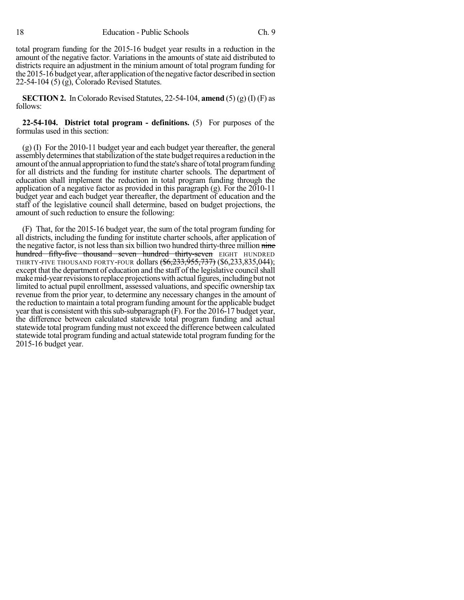total program funding for the 2015-16 budget year results in a reduction in the amount of the negative factor. Variations in the amounts of state aid distributed to districts require an adjustment in the minium amount of total program funding for the 2015-16 budget year, after application of the negative factor described in section 22-54-104 (5) (g), Colorado Revised Statutes.

**SECTION 2.** In Colorado Revised Statutes, 22-54-104, **amend** (5) (g) (I) (F) as follows:

**22-54-104. District total program - definitions.** (5) For purposes of the formulas used in this section:

 $(g)$  (I) For the 2010-11 budget year and each budget year thereafter, the general assembly determines that stabilization of the state budget requires a reduction in the amount of the annual appropriation to fund the state's share of total program funding for all districts and the funding for institute charter schools. The department of education shall implement the reduction in total program funding through the application of a negative factor as provided in this paragraph (g). For the 2010-11 budget year and each budget year thereafter, the department of education and the staff of the legislative council shall determine, based on budget projections, the amount of such reduction to ensure the following:

(F) That, for the 2015-16 budget year, the sum of the total program funding for all districts, including the funding for institute charter schools, after application of the negative factor, is not less than six billion two hundred thirty-three million nine hundred fifty-five thousand seven hundred thirty-seven EIGHT HUNDRED THIRTY-FIVE THOUSAND FORTY-FOUR dollars (\$6,233,955,737) (\$6,233,835,044); except that the department of education and the staff of the legislative council shall make mid-year revisions to replace projections with actual figures, including but not limited to actual pupil enrollment, assessed valuations, and specific ownership tax revenue from the prior year, to determine any necessary changes in the amount of the reduction to maintain a total program funding amount for the applicable budget year that is consistent with this sub-subparagraph (F). For the 2016-17 budget year, the difference between calculated statewide total program funding and actual statewide total programfunding must not exceed the difference between calculated statewide total program funding and actual statewide total program funding for the 2015-16 budget year.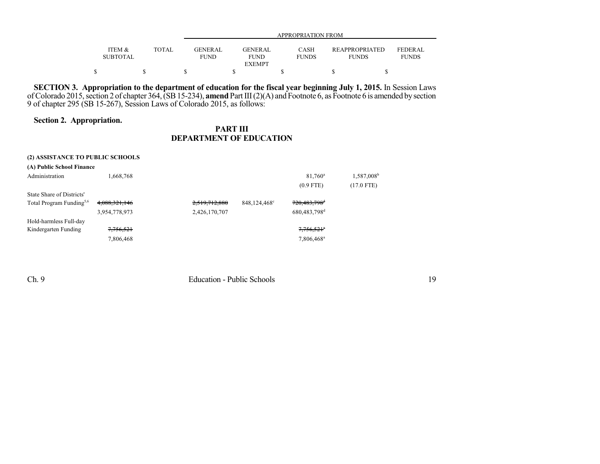|                 |              |                | APPROPRIATION FROM |              |                       |                |  |  |  |  |  |
|-----------------|--------------|----------------|--------------------|--------------|-----------------------|----------------|--|--|--|--|--|
| ITEM &          | <b>TOTAL</b> | <b>GENERAL</b> | <b>GENERAL</b>     | CASH         | <b>REAPPROPRIATED</b> | <b>FEDERAL</b> |  |  |  |  |  |
|                 |              |                |                    |              |                       |                |  |  |  |  |  |
| <b>SUBTOTAL</b> |              | FUND           | <b>FUND</b>        | <b>FUNDS</b> | <b>FUNDS</b>          | <b>FUNDS</b>   |  |  |  |  |  |
|                 |              |                | <b>EXEMPT</b>      |              |                       |                |  |  |  |  |  |
|                 |              |                |                    |              |                       |                |  |  |  |  |  |

**SECTION 3. Appropriation to the department of education for the fiscal year beginning July 1, 2015.** In Session Laws of Colorado 2015, section 2 of chapter 364, (SB 15-234), **amend** Part III (2)(A) and Footnote 6, as Footnote 6 is amended by section 9 of chapter 295 (SB 15-267), Session Laws of Colorado 2015, as follows:

#### **Section 2. Appropriation.**

### **PART III DEPARTMENT OF EDUCATION**

| (2) ASSISTANCE TO PUBLIC SCHOOLS     |                      |               |              |                            |                        |
|--------------------------------------|----------------------|---------------|--------------|----------------------------|------------------------|
| (A) Public School Finance            |                      |               |              |                            |                        |
| Administration                       | 1,668,768            |               |              | 81,760 <sup>a</sup>        | 1,587,008 <sup>b</sup> |
|                                      |                      |               |              | $(0.9$ FTE)                | (17.0 FTE)             |
| State Share of Districts'            |                      |               |              |                            |                        |
| Total Program Funding <sup>5,6</sup> | 4,088,321,146        | 2,519,712,880 | 848,124,468° | 720, 483, 798 <sup>d</sup> |                        |
|                                      | 3,954,778,973        | 2,426,170,707 |              | 680,483,798 <sup>d</sup>   |                        |
| Hold-harmless Full-day               |                      |               |              |                            |                        |
| Kindergarten Funding                 | <del>7,756,521</del> |               |              | 7,756,521 <sup>a</sup>     |                        |
|                                      | 7,806,468            |               |              | 7,806,468 <sup>a</sup>     |                        |
|                                      |                      |               |              |                            |                        |

Ch. 9 Education - Public Schools 19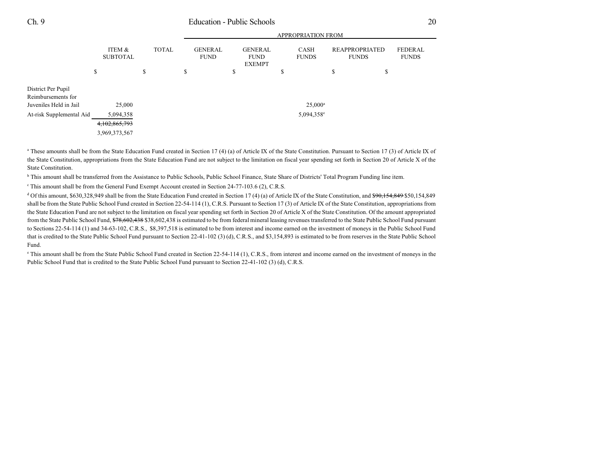### Ch. 9 Education - Public Schools 20

|                                                                                                |                                                       |              | <b>APPROPRIATION FROM</b>     |    |                                                |    |                                            |                                       |                                |
|------------------------------------------------------------------------------------------------|-------------------------------------------------------|--------------|-------------------------------|----|------------------------------------------------|----|--------------------------------------------|---------------------------------------|--------------------------------|
|                                                                                                | ITEM &<br><b>SUBTOTAL</b>                             | <b>TOTAL</b> | <b>GENERAL</b><br><b>FUND</b> |    | <b>GENERAL</b><br><b>FUND</b><br><b>EXEMPT</b> |    | <b>CASH</b><br><b>FUNDS</b>                | <b>REAPPROPRIATED</b><br><b>FUNDS</b> | <b>FEDERAL</b><br><b>FUNDS</b> |
|                                                                                                | \$                                                    | \$           | \$                            | \$ |                                                | \$ |                                            | \$                                    | \$                             |
| District Per Pupil<br>Reimbursements for<br>Juveniles Held in Jail<br>At-risk Supplemental Aid | 25,000<br>5,094,358<br>4,102,865,793<br>3,969,373,567 |              |                               |    |                                                |    | $25,000^{\rm a}$<br>5,094,358 <sup>e</sup> |                                       |                                |

<sup>a</sup> These amounts shall be from the State Education Fund created in Section 17 (4) (a) of Article IX of the State Constitution. Pursuant to Section 17 (3) of Article IX of the State Constitution, appropriations from the State Education Fund are not subject to the limitation on fiscal year spending set forth in Section 20 of Article X of the State Constitution.

<sup>b</sup> This amount shall be transferred from the Assistance to Public Schools, Public School Finance, State Share of Districts' Total Program Funding line item.

This amount shall be from the General Fund Exempt Account created in Section 24-77-103.6 (2), C.R.S.

<sup>d</sup> Of this amount, \$630,328,949 shall be from the State Education Fund created in Section 17 (4) (a) of Article IX of the State Constitution, and  $$90,154,849$50,154,849$ shall be from the State Public School Fund created in Section 22-54-114 (1), C.R.S. Pursuant to Section 17 (3) of Article IX of the State Constitution, appropriations from the State Education Fund are not subject to the limitation on fiscal year spending set forth in Section 20 of Article X of the State Constitution. Of the amount appropriated from the State Public School Fund, \$78,602,438 \$38,602,438 is estimated to be from federal mineral leasing revenues transferred to the State Public School Fund pursuant to Sections 22-54-114 (1) and 34-63-102, C.R.S., \$8,397,518 is estimated to be from interest and income earned on the investment of moneys in the Public School Fund that is credited to the State Public School Fund pursuant to Section 22-41-102 (3) (d), C.R.S., and \$3,154,893 is estimated to be from reserves in the State Public School Fund.

e This amount shall be from the State Public School Fund created in Section 22-54-114 (1), C.R.S., from interest and income earned on the investment of moneys in the Public School Fund that is credited to the State Public School Fund pursuant to Section 22-41-102 (3) (d), C.R.S.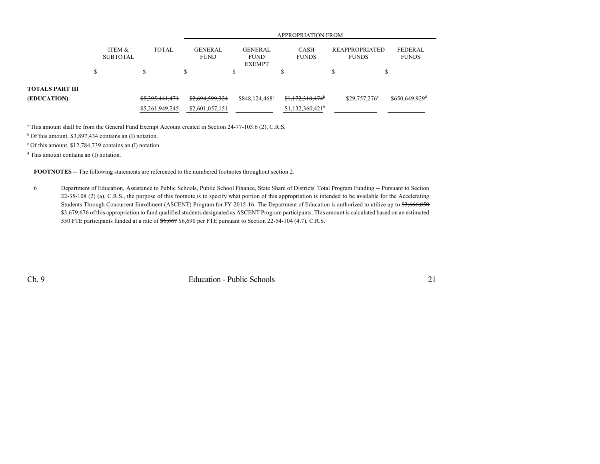|                 |                           |                 | <b>APPROPRIATION FROM</b>     |                                                |                             |                                |                                |  |  |  |
|-----------------|---------------------------|-----------------|-------------------------------|------------------------------------------------|-----------------------------|--------------------------------|--------------------------------|--|--|--|
|                 | ITEM &<br><b>SUBTOTAL</b> | <b>TOTAL</b>    | <b>GENERAL</b><br><b>FUND</b> | <b>GENERAL</b><br><b>FUND</b><br><b>EXEMPT</b> | <b>CASH</b><br><b>FUNDS</b> | REAPPROPRIATED<br><b>FUNDS</b> | <b>FEDERAL</b><br><b>FUNDS</b> |  |  |  |
|                 | \$                        | J.              | \$                            | \$                                             |                             |                                |                                |  |  |  |
| TOTALS PART III |                           |                 |                               |                                                |                             |                                |                                |  |  |  |
| (EDUCATION)     |                           | \$5,395,441,471 | \$2,694,599,324               | \$848,124,468 <sup>a</sup>                     | \$1,172,310,474             | $$29,757,276^{\circ}$          | \$650,649,929 <sup>d</sup>     |  |  |  |
|                 |                           | \$5,261,949,245 | \$2,601,057,151               |                                                | $$1,132,360,421^b$          |                                |                                |  |  |  |

<sup>a</sup> This amount shall be from the General Fund Exempt Account created in Section 24-77-103.6 (2), C.R.S.

<sup>b</sup> Of this amount, \$3,897,434 contains an (I) notation.

c Of this amount, \$12,784,739 contains an (I) notation.

d This amount contains an (I) notation.

**FOOTNOTES** -- The following statements are referenced to the numbered footnotes throughout section 2.

6 Department of Education, Assistance to Public Schools, Public School Finance, State Share of Districts' Total Program Funding -- Pursuant to Section 22-35-108 (2) (a), C.R.S., the purpose of this footnote is to specify what portion of this appropriation is intended to be available for the Accelerating Students Through Concurrent Enrollment (ASCENT) Program for FY 2015-16. The Department of Education is authorized to utilize up to \$3,666,850 \$3,679,676 of this appropriation to fund qualified students designated as ASCENT Program participants. This amount is calculated based on an estimated 550 FTE participants funded at a rate of \$6,667 \$6,690 per FTE pursuant to Section 22-54-104 (4.7), C.R.S.

Ch. 9 Education - Public Schools 21